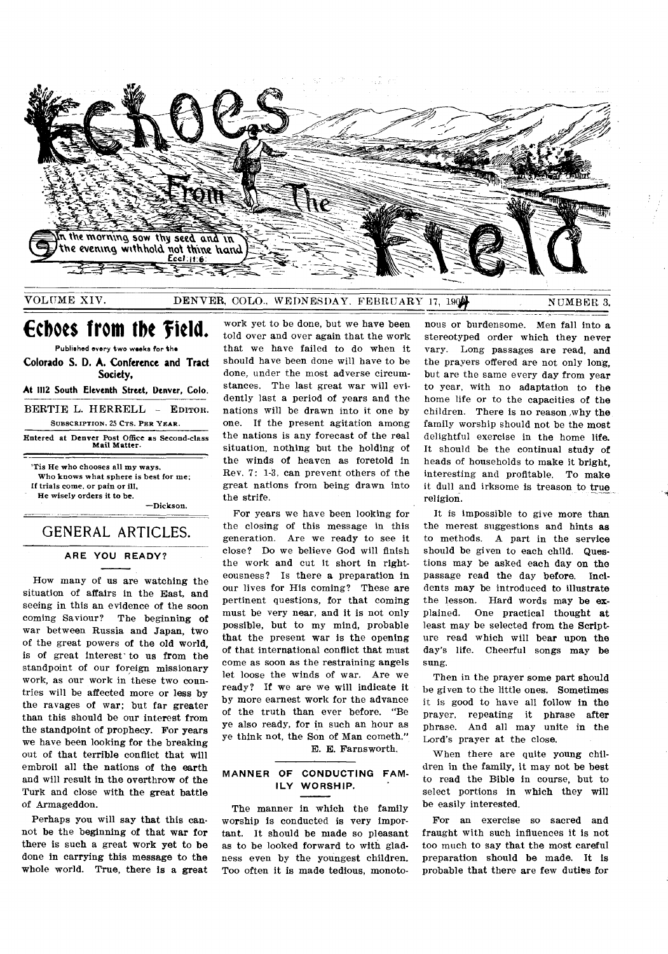

# VOLUME XIV. DENVER, COLO., WEDNESDAY. FEBRUARY 17, 1904 NUMBER 3.

# **Echoes from the field.**

Published every two weeks for the **Colorado S. D. A. Conference and Tract Society,** 

**At 1112 South Eleventh Street, Denver, Colo.** 

BERTIE L. HERRELL - EDITOR. SUBSCRIPTION, 25 CTS. PER YEAR.

Entered at Denver Post Office as Second-class Mail Matter.

'Tis He who chooses all my ways, Who knows what sphere is best for me; If trials come, or pain or ill, He wisely orders it to be.

—Dickson.

# GENERAL ARTICLES.

## **ARE YOU READY?**

How many of us are watching the situation of affairs in the East, and seeing in this an evidence of the soon coming Saviour? The beginning of war between Russia and Japan, two of the great powers of the old world, is of great interest' to us from the standpoint of our foreign missionary work, as our work in these two countries will be affected more or less by the ravages of war; but far greater than this should be our interest from the standpoint of prophecy. For years we have been looking for the breaking out of that terrible conflict that will embroil all the nations of the earth and will result in the overthrow of the Turk and close with the great battle of Armageddon.

Perhaps you will say that this cannot be the beginning of that war for there is such a great work yet to be done in carrying this message to the whole world. True, there is a great work yet to be done, but we have been told over and over again that the work that we have failed to do when it should have been done will have to be done, under the most adverse circumstances. The last great war will evidently last a period of years and the nations will be drawn into it one by one. If the present agitation among the nations is any forecast of the real situation, nothing but the holding of the winds of heaven as foretold in Rev. 7: 1-3, can prevent others of the great nations from being drawn into the strife.

For years we have been looking for the closing of this message in this generation. Are we ready to see it close? Do we believe God will finish the work and cut it short in righteousness? Is there a preparation in our lives for His coming? These are pertinent questions, for that coming must be very near, and it is not only possible, but to my mind, probable that the present war is the opening of that international conflict that must come as soon as the restraining angels let loose the winds of war. Are we ready? If we are we will indicate it by more earnest work for the advance of the truth than ever before. "Be ye also ready, for in such an hour as ye think not, the Son of Man cometh." E. E. Farnsworth.

**MANNER OF CONDUCTING FAM-**

# **ILY WORSHIP.**

The manner in which the family worship is conducted is very important. It should be made so pleasant as to be looked forward to with gladness even by the youngest children. Too often it is made tedious, monoto-

nous or burdensome. Men fall into a stereotyped order which they never vary. Long passages are read, and the prayers offered are not only long, but are the same every day from year to year, with no adaptation to the home life or to the capacities of the children. There is no reason ,why the family worship should not be the most delightful exercise in the home life. It should be the continual study of heads of households to make it bright, interesting and profitable. To make it dull and irksome is treason to true religion.

It is impossible to give more than the merest suggestions and hints *as*  to methods. A part in the service should be given to each child. Questions may be asked each day on the passage read the day before. *Incidents* may be introduced to illustrate the lesson. Hard words may be explained. One practical thought at least may be selected from the Scripture read which will bear upon the day's life. Cheerful songs may be sung.

Then in the prayer some part should be given to the little ones. Sometimes it is good to have all follow in the prayer, repeating it phrase after phrase. And all may unite in the Lord's prayer at the close.

When there are quite young children in the family, it may not be best to read the Bible in course, but to select portions in which they will be easily interested.

For an exercise so sacred and fraught with such influences it is not too much to say that the most careful preparation should be made. It is probable that there are few duties for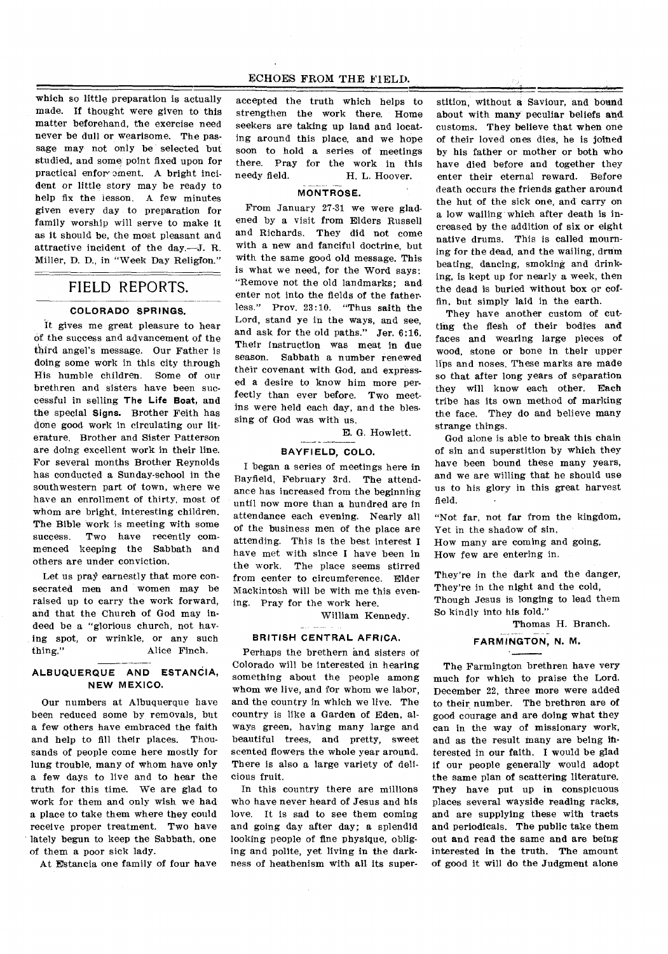which so little preparation is actually made. If thought were given to this matter beforehand, the exercise need never be dull or wearisome. The passage may not only be selected but studied, and some point fixed upon for practical enfor ement. A bright incident or little story may be ready to help fix the lesson. A few minutes given every day to preparation for family worship will serve to make it as it should be, the most pleasant and attractive incident of the day.--J. R. Miller, D. D., in "Week Day Religion."

# FIELD REPORTS.

# **COLORADO SPRINGS.**

It gives me great pleasure to hear of the success and advancement of the third angel's message. Our Father is doing some work in this city through His humble children. Some of our brethren and sisters have been successful in selling **The Life Boat,** and the special Signs. Brother Feith has done good work in circulating our literature. Brother and Sister Patterson are doing excellent work in their line. For several months Brother Reynolds has conducted a Sunday-school in the southwestern part of town, where we have an enrollment of thirty, most of whom are bright, interesting children. The Bible work is meeting with some success. Two have recently commenced keeping the Sabbath and others are under conviction.

Let us pray earnestly that more consecrated men and women may be raised up to carry the work forward, and that the Church of God may indeed be a "glorious church, not having spot, or wrinkle, or any such thing." Alice Finch.

#### **ALBUQUERQUE AND ESTANCIA, NEW MEXICO.**

Our numbers at Albuquerque have been reduced some by removals, but a few others have embraced the faith and help to fill their places. Thousands of people come here mostly for lung trouble, many of whom have only a few days to live and to hear the truth for this time. We are glad to work for them and only wish we had a place to take them where they could receive proper treatment. Two have lately begun to keep the Sabbath, one of them a poor sick lady.

At Estancia one family of four have

accepted the truth which helps to strengthen the work there. Home seekers are taking up land and locating around this place, and we hope soon to hold a series of meetings there. Pray for the work in this<br>needy field. H. L. Hoover. H. L. Hoover.

#### **MONTROSE.**

From January 27-31 we were gladened by a visit from Elders Russell and Richards. They did not come with a new and fanciful doctrine, but with the same good old message. This is what we need, for the Word says: "Remove not the old landmarks; and enter not into the fields of the father. less." Prov. 23:10. "Thus saith the Lord, stand ye in the ways, and see, and ask for the old paths." Jer. 6:16. Their instruction was meat in due season. Sabbath a number renewed their covenant with God, and expressed a desire to know him more perfectly than ever before. Two meetins were held each day, and the blessing of God was with us.

E. G. Howlett.

#### **BAYFIELD, COLO.**

I began a series of meetings here in Bayfield, February 3rd. The attendance has increased from the beginning until now more than a hundred are in attendance each evening. Nearly all of the business men of the place are attending. This is the best interest I have met with since I have been in the work. The place seems stirred from center to circumference. Elder Mackintosh will be with me this evening. Pray for the work here.

William Kennedy.

#### **BRITISH CENTRAL AFRICA.**

Perhaps the brethern and sisters of Colorado will be interested in hearing something about the people among whom we live, and for whom we labor, and the country in which we live. The country is like a Garden of Eden, always green, having many large and beautiful trees, and pretty, sweet scented flowers the whole year around. There is also a large variety of delicious fruit.

In this country there are millions who have never heard of Jesus and his love. It is sad to see them coming and going day after day; a splendid looking people of fine physique, obliging and polite, yet living in the darkness of heathenism with all its super-

stition, without a Saviour, and bound about with many peculiar beliefs and customs. They believe that when one of their loved ones dies, he is joined by his father or mother or both who have died before and together they enter their eternal reward. Before death occurs the friends gather around the hut of the sick one, and carry on a low wailing which after death is increased by the addition of six or eight native drums. This is called mourning for the dead, and the wailing, drum beating, dancing, smoking and drinking, is kept up for nearly a week, then the dead is buried without box or coffin, but simply laid in the earth.

They have another custom of cutting the flesh of their bodies and faces and wearing large pieces of wood, stone or bone in their upper lips and noses. These marks are made so that after long years of separation they will know each other. Each tribe has its own method of marking the face. They do and believe many strange things.

God alone is able to break this chain of sin and superstition by which they have been bound these many years, and we are willing that he should use us to his glory in this great harvest field.

"Not far, not far from the kingdom, Yet in the shadow of sin,

How many are coming and going, How few are entering in.

They're in the dark and the danger, They're in the night and the cold, Though Jesus is longing to lead them So kindly into his fold."

Thomas H. Branch. **FARMINGTON, N. M.** 

The Farmington brethren have very much for which to praise the Lord. December 22, three more were added to their number. The brethren are of good courage and are doing what they can in the way of missionary work, and as the result many are being interested in our faith. I would be glad if our people generally would adopt the same plan of scattering literature. They have put up in conspicuous places several wayside reading racks, and are supplying these with tracts and periodicals. The public take them out and read the same and are being interested in the truth. The amount of good it will do the Judgment alone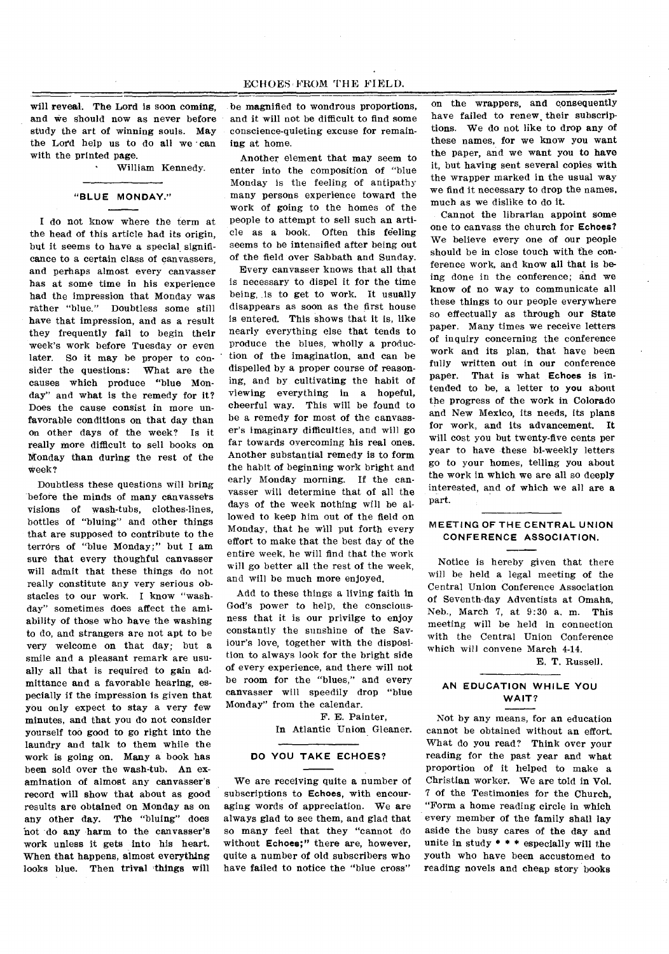### ECHOES 'FROM THE FIELD.

will reveal. The Lord is soon coming, and we should now as never before study the art of winning souls. May the Lord help us to do all we can with the printed page.

• William Kennedy.

#### **"BLUE MONDAY."**

I do not know where the term at the head of this article had its origin, but it seems to have a special significance to a certain class of canvassers, and perhaps almost every canvasser has at some time in his experience had the impression that Monday was rather "blue." Doubtless some still have that impression, and as a result they frequently fail to begin their week's work before Tuesday or even later. So it may be proper to consider the questions: What are the causes which produce "blue Monday" and what is the remedy for it? Does the cause consist in more unfavorable conditions on that day than on other days of the week? Is it really more difficult to sell books on Monday than during the rest of the week?

Doubtless these questions will bring before the minds of many canvassers visions of wash-tubs, clothes-lines, bottles of "bluing" and other things that are supposed to contribute to the terrors of "blue Monday;" but I am sure that every thoughful canvasser will admit that these things do not really constitute any very serious obstacles to our work. I know "washday" sometimes does affect the amiability of those who have the washing to do, and strangers are not apt to be very welcome on that day; but a smile and a pleasant remark are usually all that is required to gain admittance and a favorable hearing, especially if the impression is given that you only expect to stay a very few minutes, and that you do not consider yourself too good to go right into the laundry and talk to them while the work is going on. Many a book has been sold over the wash-tub. An examination of almost any canvasser's record will show that about as good results are obtained on Monday as on any other day. The "bluing" does not -do any harm to the canvasser's work unless it gets into his heart. When that happens, almost everything looks blue. Then trival things will

be magnified to wondrous proportions, and it will not be difficult to find some conscience-quieting excuse for remaining at home.

Another element that may seem to enter into the composition of "blue Monday is the feeling of antipathy many persons experience toward the work of going to the homes of the people to attempt to sell such an article as a book. Often this feeling seems to be intensified after being out of the field over Sabbath and Sunday.

Every canvasser knows that all that is necessary to dispel it for the time being, is to get to work. It usually disappears as soon as the first house is entered. This shows that it is, like nearly everything else that tends to produce the blues. wholly a production of the imagination, and can be dispelled by a proper course of reasoning, and by cultivating the habit of viewing everything in a hopeful, cheerful way. This will be found to be a remedy for most of the canvasser's imaginary difficulties, and will go far towards overcoming his real ones. Another substantial remedy is to form the habit of beginning work bright and early Monday morning. If the canvasser will determine that of all the days of the week nothing will be allowed to keep him out of the field on Monday, that he will put forth every effort to make that the best day of the entire week, he will find that the work will go better all the rest of the week, and will be much more enjoyed.

Add to these things a living faith in God's power to help, the consciousness that it is our privilge to enjoy constantly the sunshine of the Saviour's love, together with the disposition to always look for the bright side of every experience, and there will not be room for the "blues," and every canvasser will speedily drop "blue Monday" from the calendar.

> F. E. Painter, In Atlantic Union Gleaner.

#### **DO YOU TAKE ECHOES?**

We are receiving quite a number of subscriptions to Echoes, with encouraging words of appreciation. We are always glad to see them, and glad that so many feel that they "cannot do without **Echoes;"** there are, however, quite a number of old subscribers who have failed to notice the "blue cross"

on the wrappers, and consequently have failed to renew their subscriptions. We do not like to drop any of these names, for we know you want the paper, and we want you to have it, but having sent several copies with the wrapper marked in the usual way we find it necessary to drop the names, much as we dislike to do it.

Cannot the librarian appoint some one to canvass the church for **Echoes?**  We believe every one of our people should be in close touch with the conference work, and know all that is being done in the conference; and we know of no way to communicate all these things to our people everywhere so effectually as through our State paper. Many times we receive letters of inquiry concerning the conference work and its plan, that have been fully written out in our conference paper. That is what **Echoes** is intended to be, a letter to you about the progress of the work in Colorado and New Mexico, its needs, its plans for work, and its advancement. It will cost you but twenty-five cents per year to have these bi-weekly letters go to your homes, telling you about the work in which we are all so deeply interested, and of which we all are a part.

#### **MEETING OF THE CENTRAL UNION CONFERENCE ASSOCIATION.**

Notice is hereby given that there will be held a legal meeting of the Central Union Conference Association of Seventh-day Adventists at Omaha, Neb., March 7, at 9:30 a. m. This meeting will be held in connection with the Central Union Conference which will convene March 4-14.

E. T. Russell.

#### **AN EDUCATION WHILE YOU WAIT?**

Not by any means, for an education cannot be obtained without an effort. What do you read? Think over your reading for the past year and what proportion of it helped to make a Christian worker. We are told in Vol. 7 of the Testimonies for the Church, "Form a home reading circle in which every member of the family shall lay aside the busy cares of the day and unite in study \* \* \* especially will the youth who have been accustomed to reading novels and cheap story books